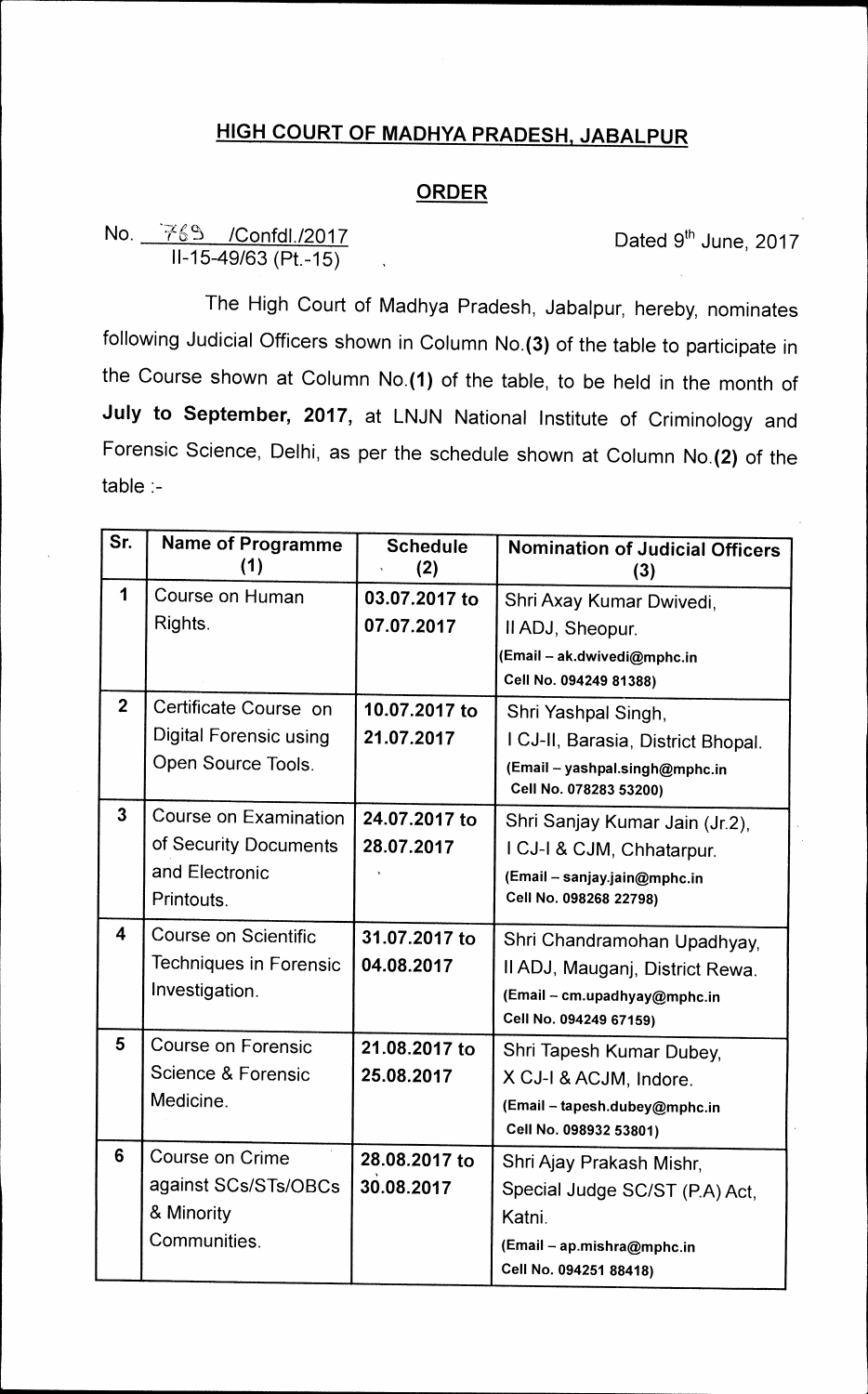## **HIGH COURT OF MADHYA PRADESH, JABALPUR**

## **ORDER**

## **No.**  $\frac{4}{100}$  / **6, (***A* / **6** / **6** / *A* **/ <b>***A A Confdl./2017* **Dated 9<sup>th</sup> June, 2017 11-15-49/63 (Pt.-15)**

**The High Court of Madhya Pradesh, Jabalpur, hereby, nominates following Judicial Officers shown in Column No.(3) of the table to participate in the Course shown at Column No.(1) of the table, to be held in the month of July to September, 2017, at LNJN National Institute of Criminology and Forensic Science, Delhi, as per the schedule shown at Column No.(2) of the table :-** 

| Sr.                     | <b>Name of Programme</b><br>(1) | <b>Schedule</b><br>(2) | <b>Nomination of Judicial Officers</b><br>(3)            |
|-------------------------|---------------------------------|------------------------|----------------------------------------------------------|
| 1                       | Course on Human                 | 03.07.2017 to          | Shri Axay Kumar Dwivedi,                                 |
|                         | Rights.                         | 07.07.2017             | Il ADJ, Sheopur.                                         |
|                         |                                 |                        | (Email – ak.dwivedi@mphc.in                              |
|                         |                                 |                        | Cell No. 094249 81388)                                   |
| $\overline{2}$          | Certificate Course on           | 10.07.2017 to          | Shri Yashpal Singh,                                      |
|                         | <b>Digital Forensic using</b>   | 21.07.2017             | I CJ-II, Barasia, District Bhopal.                       |
|                         | Open Source Tools.              |                        | (Email - yashpal.singh@mphc.in<br>Cell No. 078283 53200) |
| $\overline{3}$          | Course on Examination           | 24.07.2017 to          | Shri Sanjay Kumar Jain (Jr.2),                           |
|                         | of Security Documents           | 28.07.2017             | I CJ-I & CJM, Chhatarpur.                                |
|                         | and Electronic                  |                        | (Email - sanjay.jain@mphc.in                             |
|                         | Printouts.                      |                        | Cell No. 098268 22798)                                   |
| $\overline{\mathbf{4}}$ | Course on Scientific            | 31.07.2017 to          | Shri Chandramohan Upadhyay,                              |
|                         | Techniques in Forensic          | 04.08.2017             | Il ADJ, Mauganj, District Rewa.                          |
|                         | Investigation.                  |                        | (Email - cm.upadhyay@mphc.in                             |
|                         |                                 |                        | Cell No. 094249 67159)                                   |
| 5                       | <b>Course on Forensic</b>       | 21.08.2017 to          | Shri Tapesh Kumar Dubey,                                 |
|                         | Science & Forensic              | 25.08.2017             | X CJ-I & ACJM, Indore.                                   |
|                         | Medicine.                       |                        | (Email - tapesh.dubey@mphc.in                            |
|                         |                                 |                        | Cell No. 098932 53801)                                   |
| 6                       | Course on Crime                 | 28.08.2017 to          | Shri Ajay Prakash Mishr,                                 |
|                         | against SCs/STs/OBCs            | 30.08.2017             | Special Judge SC/ST (P.A) Act,                           |
|                         | & Minority                      |                        | Katni.                                                   |
|                         | Communities.                    |                        | (Email - ap.mishra@mphc.in                               |
|                         |                                 |                        | Cell No. 094251 88418)                                   |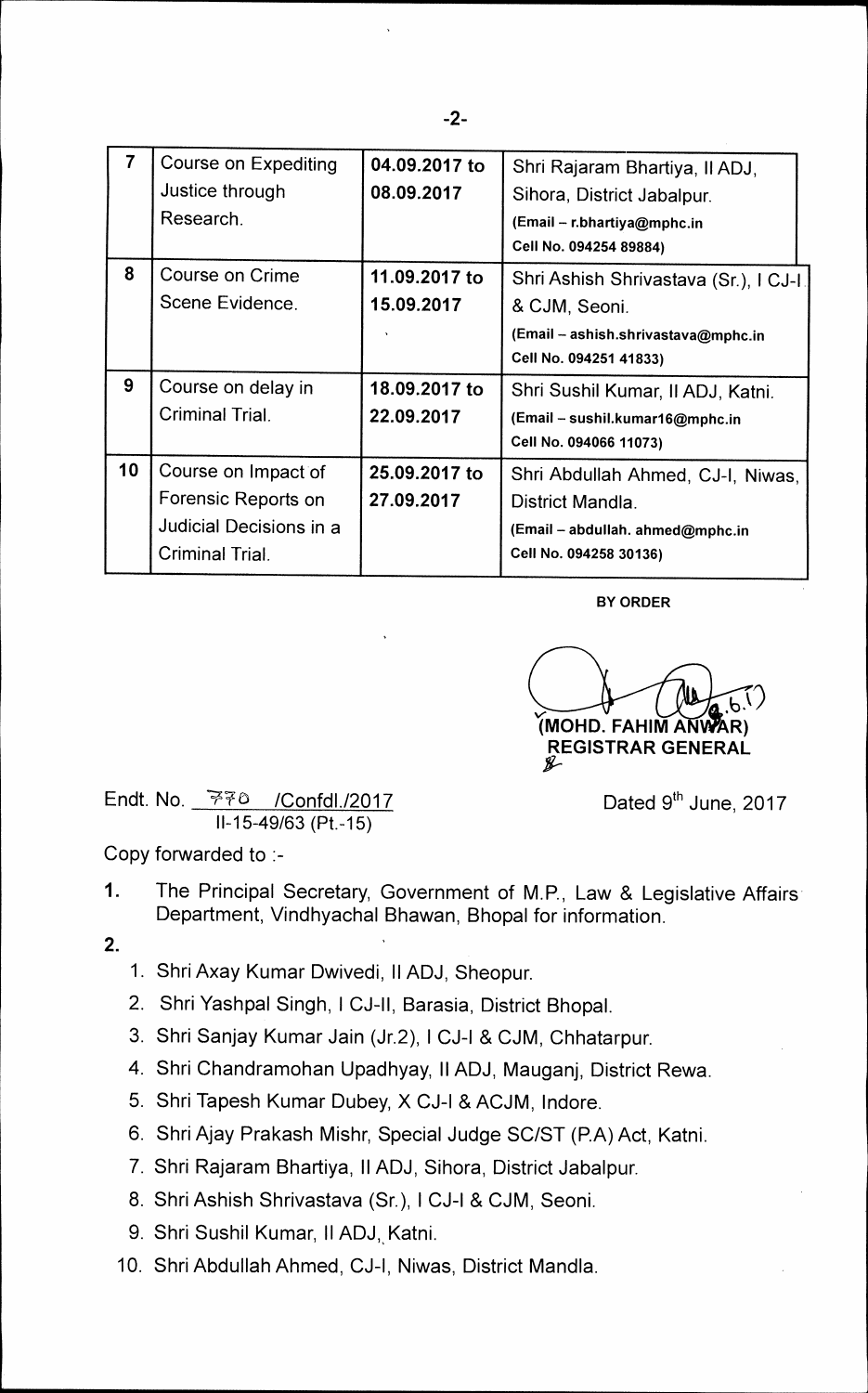| $\overline{7}$ | Course on Expediting<br>Justice through<br>Research.                                     | 04.09.2017 to<br>08.09.2017 | Shri Rajaram Bhartiya, Il ADJ,<br>Sihora, District Jabalpur.<br>(Email - r.bhartiya@mphc.in<br>Cell No. 094254 89884)    |
|----------------|------------------------------------------------------------------------------------------|-----------------------------|--------------------------------------------------------------------------------------------------------------------------|
| 8              | Course on Crime<br>Scene Evidence.                                                       | 11.09.2017 to<br>15.09.2017 | Shri Ashish Shrivastava (Sr.), I CJ-I.<br>& CJM, Seoni.<br>(Email - ashish.shrivastava@mphc.in<br>Cell No. 094251 41833) |
| 9              | Course on delay in<br>Criminal Trial.                                                    | 18.09.2017 to<br>22.09.2017 | Shri Sushil Kumar, II ADJ, Katni.<br>(Email - sushil.kumar16@mphc.in<br>Cell No. 094066 11073)                           |
| 10             | Course on Impact of<br>Forensic Reports on<br>Judicial Decisions in a<br>Criminal Trial. | 25.09.2017 to<br>27.09.2017 | Shri Abdullah Ahmed, CJ-I, Niwas,<br>District Mandla.<br>(Email - abdullah. ahmed@mphc.in<br>Cell No. 094258 30136)      |

**BY ORDER** 

 $a.6$ <sup>1</sup> **MOHD. FAHIM ANWAR) REGISTRAR GENERAL ag-**

**Endt. No. 7e) /Confc1112017 Dated 9thJune, 2017 11-15-49/63 (Pt.-15)** 

**Copy forwarded to :-** 

- **1. The Principal Secretary, Government of M.P., Law & Legislative Affairs Department, Vindhyachal Bhawan, Bhopal for information.**
- **2.**
- **1. Shri Axay Kumar Dwivedi, II ADJ, Sheopur.**
- **2. Shri Yashpal Singh, I CJ-II, Barasia, District Bhopal.**
- **3. Shri Sanjay Kumar Jain (Jr.2), I CJ-I & CJM, Chhatarpur.**
- **4. Shri Chandramohan Upadhyay, II ADJ, Mauganj, District Rewa.**
- **5. Shri Tapesh Kumar Dubey, X CJ-I & ACJM, lndore.**
- **6. Shri Ajay Prakash Mishr, Special Judge SC/ST (P.A) Act, Katni.**
- **7. Shri Rajaram Bhartiya, II ADJ, Sihora, District Jabalpur.**
- **8. Shri Ashish Shrivastava (Sr.), I CJ-I & CJM, Seoni.**
- 9. Shri Sushil Kumar, II ADJ, Katni.
- **10. Shri Abdullah Ahmed, CJ-I, Niwas, District Mandla.**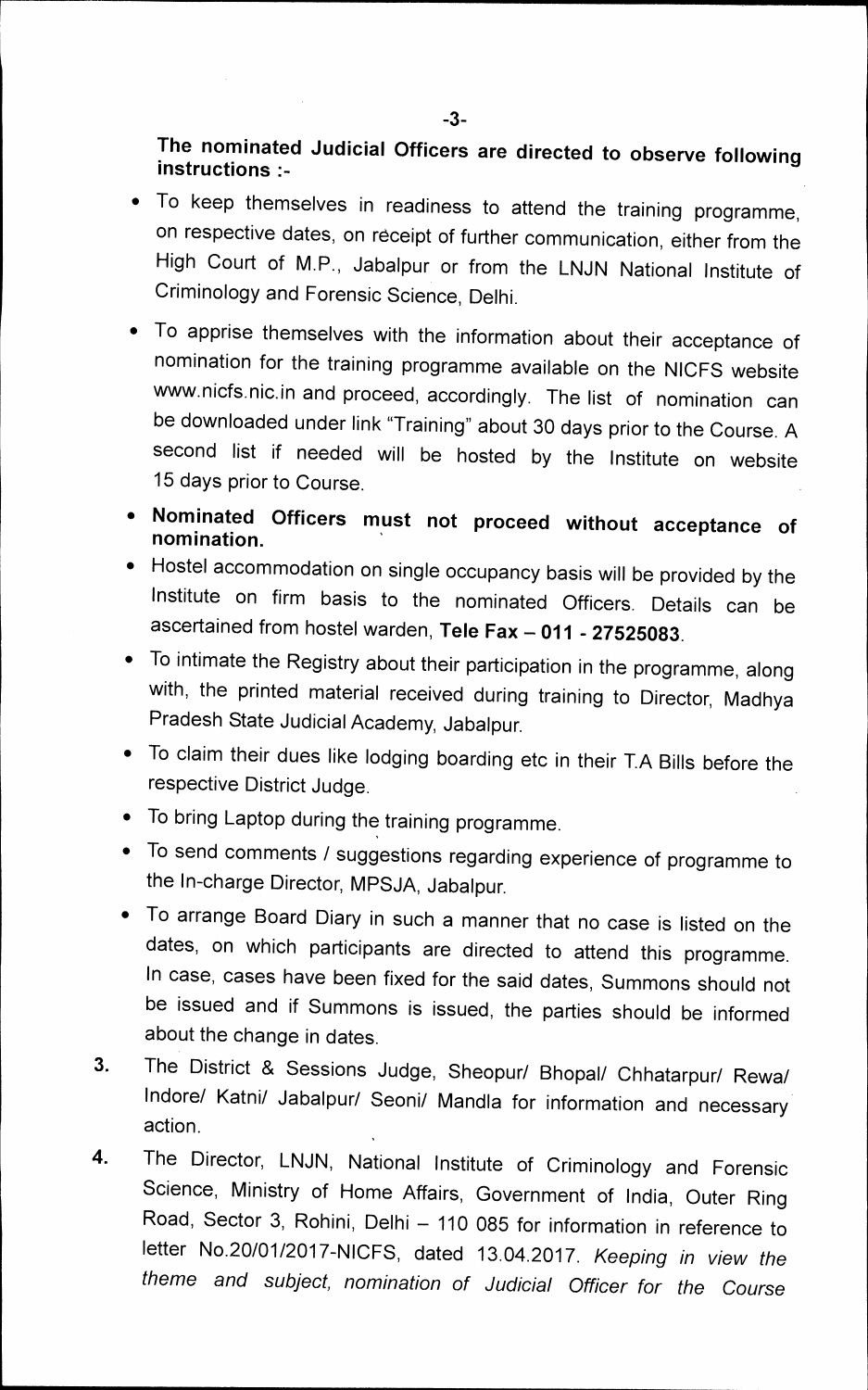**The nominated Judicial Officers are directed to observe following instructions** 

- **To keep themselves in readiness to attend the training programme, on respective dates, on receipt of further communication, either from the High Court of M.P., Jabalpur or from the LNJN National Institute of Criminology and Forensic Science, Delhi.**
- **To apprise themselves with the information about their acceptance of nomination for the training programme available on the NICFS website**  www.nicfs.nic.in and proceed, accordingly. The list of nomination can **be downloaded under link "Training" about 30 days prior to the Course. A second list if needed will be hosted by the Institute on website 15 days prior to Course.**
- **Nominated Officers must not proceed without acceptance of nomination.**
- **Hostel accommodation on single occupancy basis will be provided by the Institute on firm basis to the nominated Officers. Details can be ascertained from hostel warden, Tele Fax — 011 - 27525083.**
- **To intimate the Registry about their participation in the programme, along with, the printed material received during training to Director, Madhya Pradesh State Judicial Academy, Jabalpur.**
- **To claim their dues like lodging boarding etc in their T.A Bills before the respective District Judge.**
- **To bring Laptop during the training programme.**
- **To send comments / suggestions regarding experience of programme to the In-charge Director, MPSJA, Jabalpur.**
- **To arrange Board Diary in such a manner that no case is listed on the dates, on which participants are directed to attend this programme. In case, cases have been fixed for the said dates, Summons should not be issued and if Summons is issued, the parties should be informed about the change in dates.**
- **3. The District & Sessions Judge, Sheopur/ Bhopal/ Chhatarpur/ Rewa/ Indore/ Katni/ Jabalpur/ Seoni/ Mandla for information and necessary action.**
- **4. The Director, LNJN, National Institute of Criminology and Forensic Science, Ministry of Home Affairs, Government of India, Outer Ring Road, Sector 3, Rohini, Delhi — 110 085 for information in reference to letter No.20/01/2017-NICFS, dated 13.04.2017.** *Keeping in view the theme and subject, nomination of Judicial Officer for the Course*